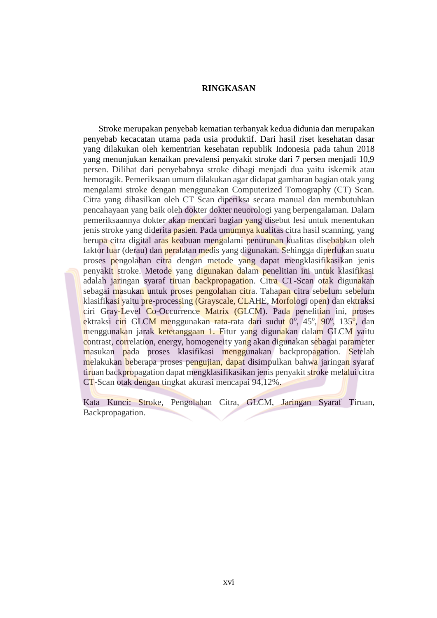## **RINGKASAN**

 Stroke merupakan penyebab kematian terbanyak kedua didunia dan merupakan penyebab kecacatan utama pada usia produktif. Dari hasil riset kesehatan dasar yang dilakukan oleh kementrian kesehatan republik Indonesia pada tahun 2018 yang menunjukan kenaikan prevalensi penyakit stroke dari 7 persen menjadi 10,9 persen. Dilihat dari penyebabnya stroke dibagi menjadi dua yaitu iskemik atau hemoragik. Pemeriksaan umum dilakukan agar didapat gambaran bagian otak yang mengalami stroke dengan menggunakan Computerized Tomography (CT) Scan. Citra yang dihasilkan oleh CT Scan diperiksa secara manual dan membutuhkan pencahayaan yang baik oleh dokter dokter neuorologi yang berpengalaman. Dalam pemeriksaannya dokter akan mencari bagian yang disebut lesi untuk menentukan jenis stroke yang diderita pasien. Pada umumnya kualitas citra hasil scanning, yang berupa citra digital aras keabuan mengalami penurunan kualitas disebabkan oleh faktor luar (derau) dan peralatan medis yang digunakan. Sehingga diperlukan suatu proses pengolahan citra dengan metode yang dapat mengklasifikasikan jenis penyakit stroke. Metode yang digunakan dalam penelitian ini untuk klasifikasi adalah jaringan syaraf tiruan backpropagation. Citra CT-Scan otak digunakan sebagai masukan untuk proses pengolahan citra. Tahapan citra sebelum sebelum klasifikasi yaitu pre-processing (Grayscale, CLAHE, Morfologi open) dan ektraksi ciri Gray-Level Co-Occurrence Matrix (GLCM). Pada penelitian ini, proses ektraksi ciri GLCM menggunakan rata-rata dari sudut 0°, 45°, 90°, 135<mark>°,</mark> dan menggunakan jarak ketetanggaan 1. Fitur yang digunakan dalam GLCM yaitu contrast, correlation, energy, homogeneity yang akan digunakan sebagai parameter masukan pada proses klasifikasi menggunakan backpropagation. Setelah melakukan beberapa proses pengujian, dapat disimpulkan bahwa jaringan syaraf tiruan backpropagation dapat mengklasifikasikan jenis penyakit stroke melalui citra CT-Scan otak dengan tingkat akurasi mencapai 94,12%.

Kata Kunci: Stroke*,* Pengolahan Citra, GLCM, Jaringan Syaraf Tiruan, Backpropagation.